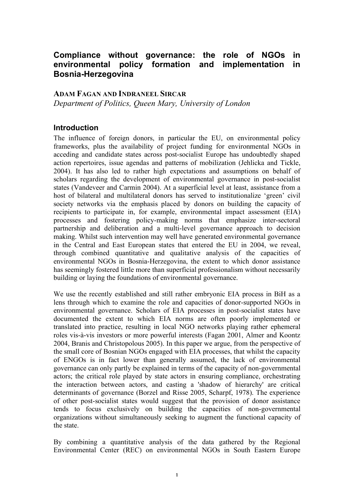## **Compliance without governance: the role of NGOs in environmental policy formation and implementation in Bosnia-Herzegovina**

### **ADAM FAGAN AND INDRANEEL SIRCAR**

*Department of Politics, Queen Mary, University of London*

## **Introduction**

The influence of foreign donors, in particular the EU, on environmental policy frameworks, plus the availability of project funding for environmental NGOs in acceding and candidate states across post-socialist Europe has undoubtedly shaped action repertoires, issue agendas and patterns of mobilization (Jehlicka and Tickle, 2004). It has also led to rather high expectations and assumptions on behalf of scholars regarding the development of environmental governance in post-socialist states (Vandeveer and Carmin 2004). At a superficial level at least, assistance from a host of bilateral and multilateral donors has served to institutionalize 'green' civil society networks via the emphasis placed by donors on building the capacity of recipients to participate in, for example, environmental impact assessment (EIA) processes and fostering policy-making norms that emphasize inter-sectoral partnership and deliberation and a multi-level governance approach to decision making. Whilst such intervention may well have generated environmental governance in the Central and East European states that entered the EU in 2004, we reveal, through combined quantitative and qualitative analysis of the capacities of environmental NGOs in Bosnia-Herzegovina, the extent to which donor assistance has seemingly fostered little more than superficial professionalism without necessarily building or laying the foundations of environmental governance.

We use the recently established and still rather embryonic EIA process in BiH as a lens through which to examine the role and capacities of donor-supported NGOs in environmental governance. Scholars of EIA processes in post-socialist states have documented the extent to which EIA norms are often poorly implemented or translated into practice, resulting in local NGO networks playing rather ephemeral roles vis-à-vis investors or more powerful interests (Fagan 2001, Almer and Koontz 2004, Branis and Christopolous 2005). In this paper we argue, from the perspective of the small core of Bosnian NGOs engaged with EIA processes, that whilst the capacity of ENGOs is in fact lower than generally assumed, the lack of environmental governance can only partly be explained in terms of the capacity of non-governmental actors; the critical role played by state actors in ensuring compliance, orchestrating the interaction between actors, and casting a 'shadow of hierarchy' are critical determinants of governance (Borzel and Risse 2005, Scharpf, 1978). The experience of other post-socialist states would suggest that the provision of donor assistance tends to focus exclusively on building the capacities of non-governmental organizations without simultaneously seeking to augment the functional capacity of the state.

By combining a quantitative analysis of the data gathered by the Regional Environmental Center (REC) on environmental NGOs in South Eastern Europe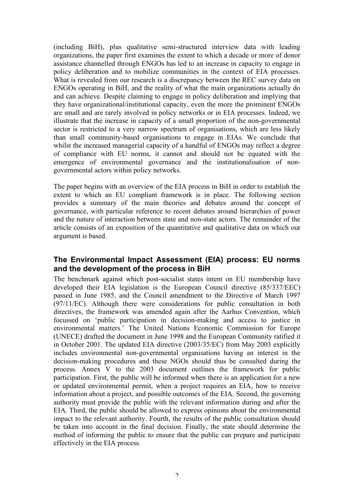(including BiH), plus qualitative semi-structured interview data with leading organizations, the paper first examines the extent to which a decade or more of donor assistance channelled through ENGOs has led to an increase in capacity to engage in policy deliberation and to mobilize communities in the context of EIA processes. What is revealed from our research is a discrepancy between the REC survey data on ENGOs operating in BiH, and the reality of what the main organizations actually do and can achieve. Despite claiming to engage in policy deliberation and implying that they have organizational/institutional capacity, even the more the prominent ENGOs are small and are rarely involved in policy networks or in EIA processes. Indeed, we illustrate that the increase in capacity of a small proportion of the non-governmental sector is restricted to a very narrow spectrum of organisations, which are less likely than small community-based organisations to engage in EIAs. We conclude that whilst the increased managerial capacity of a handful of ENGOs may reflect a degree of compliance with EU norms, it cannot and should not be equated with the emergence of environmental governance and the institutionalisation of nongovernmental actors within policy networks.

The paper begins with an overview of the EIA process in BiH in order to establish the extent to which an EU compliant framework is in place. The following section provides a summary of the main theories and debates around the concept of governance, with particular reference to recent debates around hierarchies of power and the nature of interaction between state and non-state actors. The remainder of the article consists of an exposition of the quantitative and qualitative data on which our argument is based.

## **The Environmental Impact Assessment (EIA) process: EU norms and the development of the process in BiH**

The benchmark against which post-socialist states intent on EU membership have developed their EIA legislation is the European Council directive (85/337/EEC) passed in June 1985, and the Council amendment to the Directive of March 1997 (97/11/EC). Although there were considerations for public consultation in both directives, the framework was amended again after the Aarhus Convention, which focussed on 'public participation in decision-making and access to justice in environmental matters.' The United Nations Economic Commission for Europe (UNECE) drafted the document in June 1998 and the European Community ratified it in October 2001. The updated EIA directive (2003/35/EC) from May 2003 explicitly includes environmental non-governmental organisations having an interest in the decision-making procedures and these NGOs should thus be consulted during the process. Annex V to the 2003 document outlines the framework for public participation. First, the public will be informed when there is an application for a new or updated environmental permit, when a project requires an EIA, how to receive information about a project, and possible outcomes of the EIA. Second, the governing authority must provide the public with the relevant information during and after the EIA. Third, the public should be allowed to express opinions about the environmental impact to the relevant authority. Fourth, the results of the public consultation should be taken into account in the final decision. Finally, the state should determine the method of informing the public to ensure that the public can prepare and participate effectively in the EIA process.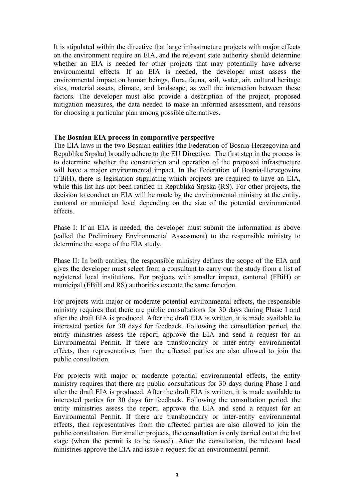It is stipulated within the directive that large infrastructure projects with major effects on the environment require an EIA, and the relevant state authority should determine whether an EIA is needed for other projects that may potentially have adverse environmental effects. If an EIA is needed, the developer must assess the environmental impact on human beings, flora, fauna, soil, water, air, cultural heritage sites, material assets, climate, and landscape, as well the interaction between these factors. The developer must also provide a description of the project, proposed mitigation measures, the data needed to make an informed assessment, and reasons for choosing a particular plan among possible alternatives.

#### **The Bosnian EIA process in comparative perspective**

The EIA laws in the two Bosnian entities (the Federation of Bosnia-Herzegovina and Republika Srpska) broadly adhere to the EU Directive. The first step in the process is to determine whether the construction and operation of the proposed infrastructure will have a major environmental impact. In the Federation of Bosnia-Herzegovina (FBiH), there is legislation stipulating which projects are required to have an EIA, while this list has not been ratified in Republika Srpska (RS). For other projects, the decision to conduct an EIA will be made by the environmental ministry at the entity, cantonal or municipal level depending on the size of the potential environmental effects.

Phase I: If an EIA is needed, the developer must submit the information as above (called the Preliminary Environmental Assessment) to the responsible ministry to determine the scope of the EIA study.

Phase II: In both entities, the responsible ministry defines the scope of the EIA and gives the developer must select from a consultant to carry out the study from a list of registered local institutions. For projects with smaller impact, cantonal (FBiH) or municipal (FBiH and RS) authorities execute the same function.

For projects with major or moderate potential environmental effects, the responsible ministry requires that there are public consultations for 30 days during Phase I and after the draft EIA is produced. After the draft EIA is written, it is made available to interested parties for 30 days for feedback. Following the consultation period, the entity ministries assess the report, approve the EIA and send a request for an Environmental Permit. If there are transboundary or inter-entity environmental effects, then representatives from the affected parties are also allowed to join the public consultation.

For projects with major or moderate potential environmental effects, the entity ministry requires that there are public consultations for 30 days during Phase I and after the draft EIA is produced. After the draft EIA is written, it is made available to interested parties for 30 days for feedback. Following the consultation period, the entity ministries assess the report, approve the EIA and send a request for an Environmental Permit. If there are transboundary or inter-entity environmental effects, then representatives from the affected parties are also allowed to join the public consultation. For smaller projects, the consultation is only carried out at the last stage (when the permit is to be issued). After the consultation, the relevant local ministries approve the EIA and issue a request for an environmental permit.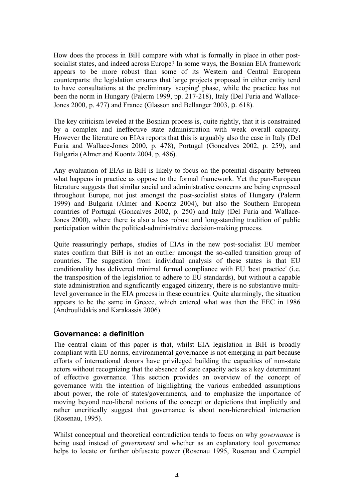How does the process in BiH compare with what is formally in place in other postsocialist states, and indeed across Europe? In some ways, the Bosnian EIA framework appears to be more robust than some of its Western and Central European counterparts: the legislation ensures that large projects proposed in either entity tend to have consultations at the preliminary 'scoping' phase, while the practice has not been the norm in Hungary (Palerm 1999, pp. 217-218), Italy (Del Furia and Wallace-Jones 2000, p. 477) and France (Glasson and Bellanger 2003, p. 618).

The key criticism leveled at the Bosnian process is, quite rightly, that it is constrained by a complex and ineffective state administration with weak overall capacity. However the literature on EIAs reports that this is arguably also the case in Italy (Del Furia and Wallace-Jones 2000, p. 478), Portugal (Goncalves 2002, p. 259), and Bulgaria (Almer and Koontz 2004, p. 486).

Any evaluation of EIAs in BiH is likely to focus on the potential disparity between what happens in practice as oppose to the formal framework. Yet the pan-European literature suggests that similar social and administrative concerns are being expressed throughout Europe, not just amongst the post-socialist states of Hungary (Palerm 1999) and Bulgaria (Almer and Koontz 2004), but also the Southern European countries of Portugal (Goncalves 2002, p. 250) and Italy (Del Furia and Wallace-Jones 2000), where there is also a less robust and long-standing tradition of public participation within the political-administrative decision-making process.

Quite reassuringly perhaps, studies of EIAs in the new post-socialist EU member states confirm that BiH is not an outlier amongst the so-called transition group of countries. The suggestion from individual analysis of these states is that EU conditionality has delivered minimal formal compliance with EU 'best practice' (i.e. the transposition of the legislation to adhere to EU standards), but without a capable state administration and significantly engaged citizenry, there is no substantive multilevel governance in the EIA process in these countries. Quite alarmingly, the situation appears to be the same in Greece, which entered what was then the EEC in 1986 (Androulidakis and Karakassis 2006).

## **Governance: a definition**

The central claim of this paper is that, whilst EIA legislation in BiH is broadly compliant with EU norms, environmental governance is not emerging in part because efforts of international donors have privileged building the capacities of non-state actors without recognizing that the absence of state capacity acts as a key determinant of effective governance. This section provides an overview of the concept of governance with the intention of highlighting the various embedded assumptions about power, the role of states/governments, and to emphasize the importance of moving beyond neo-liberal notions of the concept or depictions that implicitly and rather uncritically suggest that governance is about non-hierarchical interaction (Rosenau, 1995).

Whilst conceptual and theoretical contradiction tends to focus on why *governance* is being used instead of *government* and whether as an explanatory tool governance helps to locate or further obfuscate power (Rosenau 1995, Rosenau and Czempiel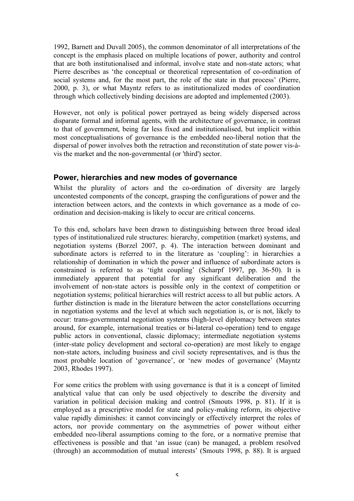1992, Barnett and Duvall 2005), the common denominator of all interpretations of the concept is the emphasis placed on multiple locations of power, authority and control that are both institutionalised and informal, involve state and non-state actors; what Pierre describes as 'the conceptual or theoretical representation of co-ordination of social systems and, for the most part, the role of the state in that process' (Pierre, 2000, p. 3), or what Mayntz refers to as institutionalized modes of coordination through which collectively binding decisions are adopted and implemented (2003).

However, not only is political power portrayed as being widely dispersed across disparate formal and informal agents, with the architecture of governance, in contrast to that of government, being far less fixed and institutionalised, but implicit within most conceptualisations of governance is the embedded neo-liberal notion that the dispersal of power involves both the retraction and reconstitution of state power vis-àvis the market and the non-governmental (or 'third') sector.

## **Power, hierarchies and new modes of governance**

Whilst the plurality of actors and the co-ordination of diversity are largely uncontested components of the concept, grasping the configurations of power and the interaction between actors, and the contexts in which governance as a mode of coordination and decision-making is likely to occur are critical concerns.

To this end, scholars have been drawn to distinguishing between three broad ideal types of institutionalized rule structures: hierarchy, competition (market) systems, and negotiation systems (Borzel 2007, p. 4). The interaction between dominant and subordinate actors is referred to in the literature as 'coupling': in hierarchies a relationship of domination in which the power and influence of subordinate actors is constrained is referred to as 'tight coupling' (Scharpf 1997, pp. 36-50). It is immediately apparent that potential for any significant deliberation and the involvement of non-state actors is possible only in the context of competition or negotiation systems; political hierarchies will restrict access to all but public actors. A further distinction is made in the literature between the actor constellations occurring in negotiation systems and the level at which such negotiation is, or is not, likely to occur: trans-governmental negotiation systems (high-level diplomacy between states around, for example, international treaties or bi-lateral co-operation) tend to engage public actors in conventional, classic diplomacy; intermediate negotiation systems (inter-state policy development and sectoral co-operation) are most likely to engage non-state actors, including business and civil society representatives, and is thus the most probable location of 'governance', or 'new modes of governance' (Mayntz 2003, Rhodes 1997).

For some critics the problem with using governance is that it is a concept of limited analytical value that can only be used objectively to describe the diversity and variation in political decision making and control (Smouts 1998, p. 81). If it is employed as a prescriptive model for state and policy-making reform, its objective value rapidly diminishes: it cannot convincingly or effectively interpret the roles of actors, nor provide commentary on the asymmetries of power without either embedded neo-liberal assumptions coming to the fore, or a normative premise that effectiveness is possible and that 'an issue (can) be managed, a problem resolved (through) an accommodation of mutual interests' (Smouts 1998, p. 88). It is argued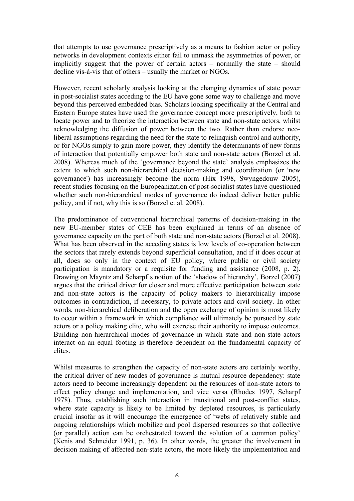that attempts to use governance prescriptively as a means to fashion actor or policy networks in development contexts either fail to unmask the asymmetries of power, or implicitly suggest that the power of certain actors – normally the state – should decline vis-à-vis that of others – usually the market or NGOs.

However, recent scholarly analysis looking at the changing dynamics of state power in post-socialist states acceding to the EU have gone some way to challenge and move beyond this perceived embedded bias. Scholars looking specifically at the Central and Eastern Europe states have used the governance concept more prescriptively, both to locate power and to theorize the interaction between state and non-state actors, whilst acknowledging the diffusion of power between the two. Rather than endorse neoliberal assumptions regarding the need for the state to relinquish control and authority, or for NGOs simply to gain more power, they identify the determinants of new forms of interaction that potentially empower both state and non-state actors (Borzel et al. 2008). Whereas much of the 'governance beyond the state' analysis emphasizes the extent to which such non-hierarchical decision-making and coordination (or 'new governance') has increasingly become the norm (Hix 1998, Swyngedouw 2005), recent studies focusing on the Europeanization of post-socialist states have questioned whether such non-hierarchical modes of governance do indeed deliver better public policy, and if not, why this is so (Borzel et al. 2008).

The predominance of conventional hierarchical patterns of decision-making in the new EU-member states of CEE has been explained in terms of an absence of governance capacity on the part of both state and non-state actors (Borzel et al. 2008). What has been observed in the acceding states is low levels of co-operation between the sectors that rarely extends beyond superficial consultation, and if it does occur at all, does so only in the context of EU policy, where public or civil society participation is mandatory or a requisite for funding and assistance (2008, p. 2). Drawing on Mayntz and Scharpf's notion of the 'shadow of hierarchy', Borzel (2007) argues that the critical driver for closer and more effective participation between state and non-state actors is the capacity of policy makers to hierarchically impose outcomes in contradiction, if necessary, to private actors and civil society. In other words, non-hierarchical deliberation and the open exchange of opinion is most likely to occur within a framework in which compliance will ultimately be pursued by state actors or a policy making elite, who will exercise their authority to impose outcomes. Building non-hierarchical modes of governance in which state and non-state actors interact on an equal footing is therefore dependent on the fundamental capacity of elites.

Whilst measures to strengthen the capacity of non-state actors are certainly worthy, the critical driver of new modes of governance is mutual resource dependency: state actors need to become increasingly dependent on the resources of non-state actors to effect policy change and implementation, and vice versa (Rhodes 1997, Scharpf 1978). Thus, establishing such interaction in transitional and post-conflict states, where state capacity is likely to be limited by depleted resources, is particularly crucial insofar as it will encourage the emergence of 'webs of relatively stable and ongoing relationships which mobilize and pool dispersed resources so that collective (or parallel) action can be orchestrated toward the solution of a common policy' (Kenis and Schneider 1991, p. 36). In other words, the greater the involvement in decision making of affected non-state actors, the more likely the implementation and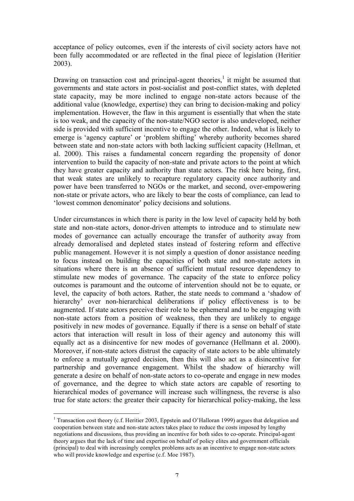acceptance of policy outcomes, even if the interests of civil society actors have not been fully accommodated or are reflected in the final piece of legislation (Heritier 2003).

Drawing on transaction cost and principal-agent theories,<sup>1</sup> it might be assumed that governments and state actors in post-socialist and post-conflict states, with depleted state capacity, may be more inclined to engage non-state actors because of the additional value (knowledge, expertise) they can bring to decision-making and policy implementation. However, the flaw in this argument is essentially that when the state is too weak, and the capacity of the non-state/NGO sector is also undeveloped, neither side is provided with sufficient incentive to engage the other. Indeed, what is likely to emerge is 'agency capture' or 'problem shifting' whereby authority becomes shared between state and non-state actors with both lacking sufficient capacity (Hellman, et al. 2000). This raises a fundamental concern regarding the propensity of donor intervention to build the capacity of non-state and private actors to the point at which they have greater capacity and authority than state actors. The risk here being, first, that weak states are unlikely to recapture regulatory capacity once authority and power have been transferred to NGOs or the market, and second, over-empowering non-state or private actors, who are likely to bear the costs of compliance, can lead to 'lowest common denominator' policy decisions and solutions.

Under circumstances in which there is parity in the low level of capacity held by both state and non-state actors, donor-driven attempts to introduce and to stimulate new modes of governance can actually encourage the transfer of authority away from already demoralised and depleted states instead of fostering reform and effective public management. However it is not simply a question of donor assistance needing to focus instead on building the capacities of both state and non-state actors in situations where there is an absence of sufficient mutual resource dependency to stimulate new modes of governance. The capacity of the state to enforce policy outcomes is paramount and the outcome of intervention should not be to equate, or level, the capacity of both actors. Rather, the state needs to command a 'shadow of hierarchy' over non-hierarchical deliberations if policy effectiveness is to be augmented. If state actors perceive their role to be ephemeral and to be engaging with non-state actors from a position of weakness, then they are unlikely to engage positively in new modes of governance. Equally if there is a sense on behalf of state actors that interaction will result in loss of their agency and autonomy this will equally act as a disincentive for new modes of governance (Hellmann et al. 2000). Moreover, if non-state actors distrust the capacity of state actors to be able ultimately to enforce a mutually agreed decision, then this will also act as a disincentive for partnership and governance engagement. Whilst the shadow of hierarchy will generate a desire on behalf of non-state actors to co-operate and engage in new modes of governance, and the degree to which state actors are capable of resorting to hierarchical modes of governance will increase such willingness, the reverse is also true for state actors: the greater their capacity for hierarchical policy-making, the less

 <sup>1</sup> Transaction cost theory (c.f. Heritier 2003, Eppstein and O'Halloran 1999) argues that delegation and cooperation between state and non-state actors takes place to reduce the costs imposed by lengthy negotiations and discussions, thus providing an incentive for both sides to co-operate. Principal-agent theory argues that the lack of time and expertise on behalf of policy elites and government officials (principal) to deal with increasingly complex problems acts as an incentive to engage non-state actors who will provide knowledge and expertise (c.f. Moe 1987).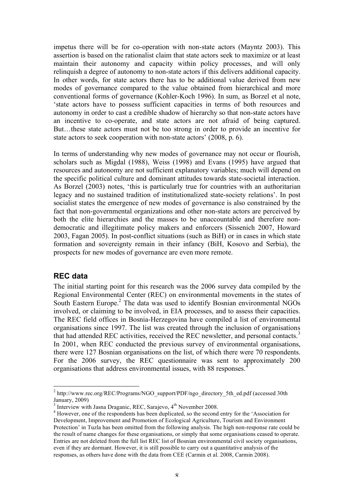impetus there will be for co-operation with non-state actors (Mayntz 2003). This assertion is based on the rationalist claim that state actors seek to maximize or at least maintain their autonomy and capacity within policy processes, and will only relinquish a degree of autonomy to non-state actors if this delivers additional capacity. In other words, for state actors there has to be additional value derived from new modes of governance compared to the value obtained from hierarchical and more conventional forms of governance (Kohler-Koch 1996). In sum, as Borzel et al note, 'state actors have to possess sufficient capacities in terms of both resources and autonomy in order to cast a credible shadow of hierarchy so that non-state actors have an incentive to co-operate, and state actors are not afraid of being captured. But…these state actors must not be too strong in order to provide an incentive for state actors to seek cooperation with non-state actors' (2008, p. 6).

In terms of understanding why new modes of governance may not occur or flourish, scholars such as Migdal (1988), Weiss (1998) and Evans (1995) have argued that resources and autonomy are not sufficient explanatory variables; much will depend on the specific political culture and dominant attitudes towards state-societal interaction. As Borzel (2003) notes, 'this is particularly true for countries with an authoritarian legacy and no sustained tradition of institutionalized state-society relations'. In post socialist states the emergence of new modes of governance is also constrained by the fact that non-governmental organizations and other non-state actors are perceived by both the elite hierarchies and the masses to be unaccountable and therefore nondemocratic and illegitimate policy makers and enforcers (Sissenich 2007, Howard 2003, Fagan 2005). In post-conflict situations (such as BiH) or in cases in which state formation and sovereignty remain in their infancy (BiH, Kosovo and Serbia), the prospects for new modes of governance are even more remote.

#### **REC data**

The initial starting point for this research was the 2006 survey data compiled by the Regional Environmental Center (REC) on environmental movements in the states of South Eastern Europe.<sup>2</sup> The data was used to identify Bosnian environmental NGOs involved, or claiming to be involved, in EIA processes, and to assess their capacities. The REC field offices in Bosnia-Herzegovina have compiled a list of environmental organisations since 1997. The list was created through the inclusion of organisations that had attended REC activities, received the REC newsletter, and personal contacts.<sup>3</sup> In 2001, when REC conducted the previous survey of environmental organisations, there were 127 Bosnian organisations on the list, of which there were 70 respondents. For the 2006 survey, the REC questionnaire was sent to approximately 200 organisations that address environmental issues, with 88 responses.<sup>4</sup>

<sup>&</sup>lt;sup>2</sup> http://www.rec.org/REC/Programs/NGO\_support/PDF/ngo\_directory\_5th\_ed.pdf (accessed 30th January, 2009)

<sup>&</sup>lt;sup>3</sup> Interview with Jasna Draganic, REC, Sarajevo,  $4<sup>th</sup>$  November 2008.<br><sup>4</sup> However, one of the respondents has been duplicated, so the second entry for the 'Association for Development, Improvement and Promotion of Ecological Agriculture, Tourism and Environment Protection' in Tuzla has been omitted from the following analysis. The high non-response rate could be the result of name changes for these organisations, or simply that some organisations ceased to operate. Entries are not deleted from the full list REC list of Bosnian environmental civil society organisations, even if they are dormant. However, it is still possible to carry out a quantitative analysis of the responses, as others have done with the data from CEE (Carmin et al. 2008, Carmin 2008).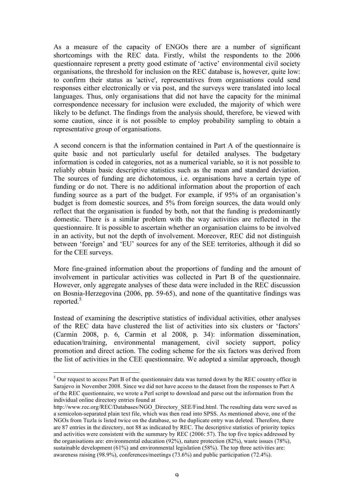As a measure of the capacity of ENGOs there are a number of significant shortcomings with the REC data. Firstly, whilst the respondents to the 2006 questionnaire represent a pretty good estimate of 'active' environmental civil society organisations, the threshold for inclusion on the REC database is, however, quite low: to confirm their status as 'active', representatives from organisations could send responses either electronically or via post, and the surveys were translated into local languages. Thus, only organisations that did not have the capacity for the minimal correspondence necessary for inclusion were excluded, the majority of which were likely to be defunct. The findings from the analysis should, therefore, be viewed with some caution, since it is not possible to employ probability sampling to obtain a representative group of organisations.

A second concern is that the information contained in Part A of the questionnaire is quite basic and not particularly useful for detailed analyses. The budgetary information is coded in categories, not as a numerical variable, so it is not possible to reliably obtain basic descriptive statistics such as the mean and standard deviation. The sources of funding are dichotomous, i.e. organisations have a certain type of funding or do not. There is no additional information about the proportion of each funding source as a part of the budget. For example, if 95% of an organisation's budget is from domestic sources, and 5% from foreign sources, the data would only reflect that the organisation is funded by both, not that the funding is predominantly domestic. There is a similar problem with the way activities are reflected in the questionnaire. It is possible to ascertain whether an organisation claims to be involved in an activity, but not the depth of involvement. Moreover, REC did not distinguish between 'foreign' and 'EU' sources for any of the SEE territories, although it did so for the CEE surveys.

More fine-grained information about the proportions of funding and the amount of involvement in particular activities was collected in Part B of the questionnaire. However, only aggregate analyses of these data were included in the REC discussion on Bosnia-Herzegovina (2006, pp. 59-65), and none of the quantitative findings was reported.<sup>5</sup>

Instead of examining the descriptive statistics of individual activities, other analyses of the REC data have clustered the list of activities into six clusters or 'factors' (Carmin 2008, p. 6, Carmin et al 2008, p. 34): information dissemination, education/training, environmental management, civil society support, policy promotion and direct action. The coding scheme for the six factors was derived from the list of activities in the CEE questionnaire. We adopted a similar approach, though

 $<sup>5</sup>$  Our request to access Part B of the questionnaire data was turned down by the REC country office in</sup> Sarajevo in November 2008. Since we did not have access to the dataset from the responses to Part A of the REC questionnaire, we wrote a Perl script to download and parse out the information from the individual online directory entries found at

http://www.rec.org/REC/Databases/NGO\_Directory\_SEE/Find.html. The resulting data were saved as a semicolon-separated plain text file, which was then read into SPSS. As mentioned above, one of the NGOs from Tuzla is listed twice on the database, so the duplicate entry was deleted. Therefore, there are 87 entries in the directory, not 88 as indicated by REC. The descriptive statistics of priority topics and activities were consistent with the summary by REC (2006: 57). The top five topics addressed by the organisations are: environmental education (92%), nature protection (82%), waste issues (78%), sustainable development  $(61\%)$  and environmental legislation  $(58\%)$ . The top three activities are: awareness raising (98.9%), conferences/meetings (73.6%) and public participation (72.4%).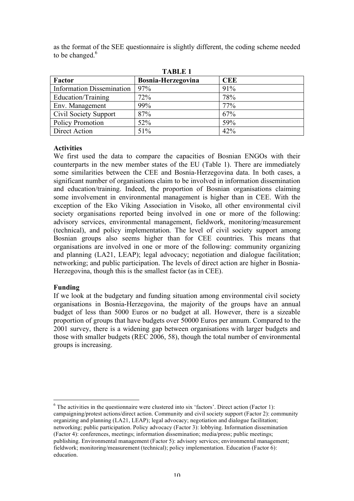| <b>TABLE 1</b>                   |                           |            |  |
|----------------------------------|---------------------------|------------|--|
| Factor                           | <b>Bosnia-Herzegovina</b> | <b>CEE</b> |  |
| <b>Information Dissemination</b> | 97%                       | 91%        |  |
| Education/Training               | 72%                       | 78%        |  |
| Env. Management                  | 99%                       | 77%        |  |
| Civil Society Support            | 87%                       | 67%        |  |
| Policy Promotion                 | 52%                       | 59%        |  |

Direct Action  $\frac{151\%}{200}$   $\frac{42\%}{200}$ 

as the format of the SEE questionnaire is slightly different, the coding scheme needed to be changed.<sup>6</sup>

#### **Activities**

We first used the data to compare the capacities of Bosnian ENGOs with their counterparts in the new member states of the EU (Table 1). There are immediately some similarities between the CEE and Bosnia-Herzegovina data. In both cases, a significant number of organisations claim to be involved in information dissemination and education/training. Indeed, the proportion of Bosnian organisations claiming some involvement in environmental management is higher than in CEE. With the exception of the Eko Viking Association in Visoko, all other environmental civil society organisations reported being involved in one or more of the following: advisory services, environmental management, fieldwork, monitoring/measurement (technical), and policy implementation. The level of civil society support among Bosnian groups also seems higher than for CEE countries. This means that organisations are involved in one or more of the following: community organizing and planning (LA21, LEAP); legal advocacy; negotiation and dialogue facilitation; networking; and public participation. The levels of direct action are higher in Bosnia-Herzegovina, though this is the smallest factor (as in CEE).

#### **Funding**

If we look at the budgetary and funding situation among environmental civil society organisations in Bosnia-Herzegovina, the majority of the groups have an annual budget of less than 5000 Euros or no budget at all. However, there is a sizeable proportion of groups that have budgets over 50000 Euros per annum. Compared to the 2001 survey, there is a widening gap between organisations with larger budgets and those with smaller budgets (REC 2006, 58), though the total number of environmental groups is increasing.

 $6$  The activities in the questionnaire were clustered into six 'factors'. Direct action (Factor 1): campaigning/protest actions/direct action. Community and civil society support (Factor 2): community organizing and planning (LA21, LEAP); legal advocacy; negotiation and dialogue facilitation; networking; public participation. Policy advocacy (Factor 3): lobbying. Information dissemination (Factor 4): conferences, meetings; information dissemination; media/press; public meetings; publishing. Environmental management (Factor 5): advisory services; environmental management; fieldwork; monitoring/measurement (technical); policy implementation. Education (Factor 6): education.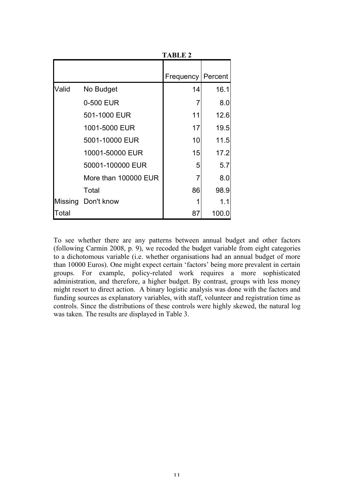|       |                      | 1 ЛЮСЕ 4                   |       |
|-------|----------------------|----------------------------|-------|
|       |                      | <b>Frequency   Percent</b> |       |
| Valid | No Budget            | 14                         | 16.1  |
|       | 0-500 EUR            | 7                          | 8.0   |
|       | 501-1000 EUR         | 11                         | 12.6  |
|       | 1001-5000 EUR        | 17                         | 19.5  |
|       | 5001-10000 EUR       | 10                         | 11.5  |
|       | 10001-50000 EUR      | 15                         | 17.2  |
|       | 50001-100000 EUR     | 5                          | 5.7   |
|       | More than 100000 EUR | 7                          | 8.0   |
|       | Total                | 86                         | 98.9  |
|       | Missing Don't know   |                            | 1.1   |
| Total |                      | 87                         | 100.0 |

To see whether there are any patterns between annual budget and other factors (following Carmin 2008, p. 9), we recoded the budget variable from eight categories to a dichotomous variable (i.e. whether organisations had an annual budget of more than 10000 Euros). One might expect certain 'factors' being more prevalent in certain groups. For example, policy-related work requires a more sophisticated administration, and therefore, a higher budget. By contrast, groups with less money might resort to direct action. A binary logistic analysis was done with the factors and funding sources as explanatory variables, with staff, volunteer and registration time as controls. Since the distributions of these controls were highly skewed, the natural log was taken. The results are displayed in Table 3.

**TABLE 2**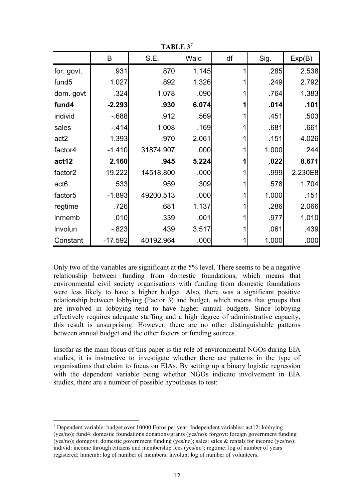| тарыл э             |           |           |       |    |       |         |
|---------------------|-----------|-----------|-------|----|-------|---------|
|                     | B         | S.E.      | Wald  | df | Sig.  | Exp(B)  |
| for. govt.          | .931      | .870      | 1.145 |    | .285  | 2.538   |
| fund <sub>5</sub>   | 1.027     | .892      | 1.326 |    | .249  | 2.792   |
| dom. govt           | .324      | 1.078     | .090  |    | .764  | 1.383   |
| fund4               | $-2.293$  | .930      | 6.074 |    | .014  | .101    |
| individ             | $-688$    | .912      | .569  |    | .451  | .503    |
| sales               | $-414$    | 1.008     | .169  |    | .681  | .661    |
| act <sub>2</sub>    | 1.393     | .970      | 2.061 |    | .151  | 4.026   |
| factor4             | $-1.410$  | 31874.907 | .000  |    | 1.000 | .244    |
| act12               | 2.160     | .945      | 5.224 |    | .022  | 8.671   |
| factor <sub>2</sub> | 19.222    | 14518.800 | .000  |    | .999  | 2.230E8 |
| act <sub>6</sub>    | .533      | .959      | .309  |    | .578  | 1.704   |
| factor <sub>5</sub> | $-1.893$  | 49200.513 | .000  |    | 1.000 | .151    |
| regtime             | .726      | .681      | 1.137 |    | .286  | 2.066   |
| Inmemb              | .010      | .339      | .001  |    | .977  | 1.010   |
| Involun             | $-0.823$  | .439      | 3.517 |    | .061  | .439    |
| Constant            | $-17.592$ | 40192.964 | .000  |    | 1.000 | .000    |

**TABLE 3<sup>7</sup>**

Only two of the variables are significant at the 5% level. There seems to be a negative relationship between funding from domestic foundations, which means that environmental civil society organisations with funding from domestic foundations were less likely to have a higher budget. Also, there was a significant positive relationship between lobbying (Factor 3) and budget, which means that groups that are involved in lobbying tend to have higher annual budgets. Since lobbying effectively requires adequate staffing and a high degree of administrative capacity, this result is unsurprising. However, there are no other distinguishable patterns between annual budget and the other factors or funding sources.

Insofar as the main focus of this paper is the role of environmental NGOs during EIA studies, it is instructive to investigate whether there are patterns in the type of organisations that claim to focus on EIAs. By setting up a binary logistic regression with the dependent variable being whether NGOs indicate involvement in EIA studies, there are a number of possible hypotheses to test:

 $<sup>7</sup>$  Dependent variable: budget over 10000 Euros per year. Independent variables: act12: lobbying</sup> (yes/no); fund4: domestic foundations donations/grants (yes/no); forgovt: foreign government funding (yes/no); domgovt: domestic government funding (yes/no); sales: sales & rentals for income (yes/no); individ: income through citizens and membership fees (yes/no); regtime: log of number of years registered; lnmemb: log of number of members; lnvolun: log of number of volunteers.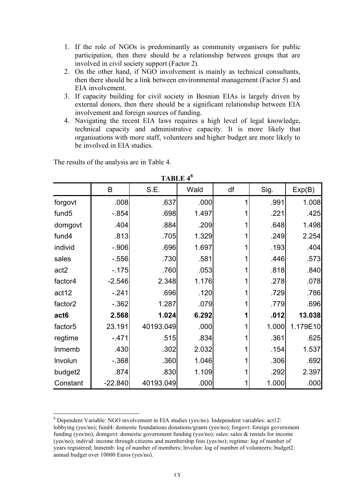- 1. If the role of NGOs is predominantly as community organisers for public participation, then there should be a relationship between groups that are involved in civil society support (Factor 2).
- 2. On the other hand, if NGO involvement is mainly as technical consultants, then there should be a link between environmental management (Factor 5) and EIA involvement.
- 3. If capacity building for civil society in Bosnian EIAs is largely driven by external donors, then there should be a significant relationship between EIA involvement and foreign sources of funding.
- 4. Navigating the recent EIA laws requires a high level of legal knowledge, technical capacity and administrative capacity. It is more likely that organisations with more staff, volunteers and higher budget are more likely to be involved in EIA studies.

| TABLE 4°            |           |           |       |    |       |          |
|---------------------|-----------|-----------|-------|----|-------|----------|
|                     | B         | S.E.      | Wald  | df | Sig.  | Exp(B)   |
| forgovt             | .008      | .637      | .000  | 1  | .991  | 1.008    |
| fund <sub>5</sub>   | $-0.854$  | .698      | 1.497 |    | .221  | .425     |
| domgovt             | .404      | .884      | .209  |    | .648  | 1.498    |
| fund4               | .813      | .705      | 1.329 |    | .249  | 2.254    |
| individ             | $-.906$   | .696      | 1.697 |    | .193  | .404     |
| sales               | $-556$    | .730      | .581  |    | .446  | .573     |
| act <sub>2</sub>    | $-.175$   | .760      | .053  |    | .818  | .840     |
| factor4             | $-2.546$  | 2.348     | 1.176 |    | .278  | .078     |
| act12               | $-241$    | .696      | .120  |    | .729  | .786     |
| factor <sub>2</sub> | $-0.362$  | 1.287     | .079  |    | .779  | .696     |
| act <sub>6</sub>    | 2.568     | 1.024     | 6.292 |    | .012  | 13.038   |
| factor <sub>5</sub> | 23.191    | 40193.049 | .000  |    | 1.000 | 1.179E10 |
| regtime             | $-471$    | .515      | .834  |    | .361  | .625     |
| Inmemb              | .430      | .302      | 2.032 |    | .154  | 1.537    |
| Involun             | $-368$    | .360      | 1.046 |    | .306  | .692     |
| budget2             | .874      | .830      | 1.109 |    | .292  | 2.397    |
| Constant            | $-22.840$ | 40193.049 | .000  |    | 1.000 | .000     |

The results of the analysis are in Table 4.

**TABLE 4<sup>8</sup>**

 <sup>8</sup> Dependent Variable: NGO involvement in EIA studies (yes/no). Independent variables: act12: lobbying (yes/no); fund4: domestic foundations donations/grants (yes/no); forgovt: foreign government funding (yes/no); domgovt: domestic government funding (yes/no); sales: sales & rentals for income (yes/no); individ: income through citizens and membership fees (yes/no); regtime: log of number of years registered; lnmemb: log of number of members; lnvolun: log of number of volunteers; budget2: annual budget over 10000 Euros (yes/no).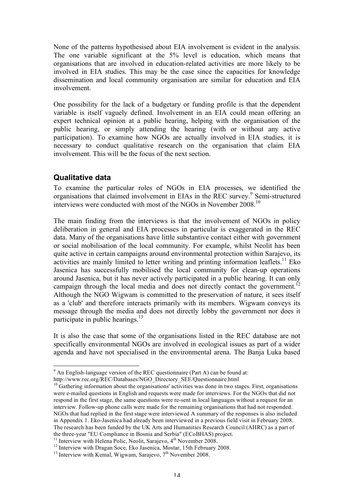None of the patterns hypothesised about EIA involvement is evident in the analysis. The one variable significant at the 5% level is education, which means that organisations that are involved in education-related activities are more likely to be involved in EIA studies. This may be the case since the capacities for knowledge dissemination and local community organisation are similar for education and EIA involvement.

One possibility for the lack of a budgetary or funding profile is that the dependent variable is itself vaguely defined. Involvement in an EIA could mean offering an expert technical opinion at a public hearing, helping with the organisation of the public hearing, or simply attending the hearing (with or without any active participation). To examine how NGOs are actually involved in EIA studies, it is necessary to conduct qualitative research on the organisation that claim EIA involvement. This will be the focus of the next section.

#### **Qualitative data**

To examine the particular roles of NGOs in EIA processes, we identified the organisations that claimed involvement in EIAs in the REC survey. <sup>9</sup> Semi-structured interviews were conducted with most of the NGOs in November 2008.10

The main finding from the interviews is that the involvement of NGOs in policy deliberation in general and EIA processes in particular is exaggerated in the REC data. Many of the organisations have little substantive contact either with government or social mobilisation of the local community. For example, whilst Neolit has been quite active in certain campaigns around environmental protection within Sarajevo, its activities are mainly limited to letter writing and printing information leaflets.<sup>11</sup> Eko Jasenica has successfully mobilised the local community for clean-up operations around Jasenica, but it has never actively participated in a public hearing. It can only campaign through the local media and does not directly contact the government.<sup>12</sup> Although the NGO Wigwam is committed to the preservation of nature, it sees itself as a 'club' and therefore interacts primarily with its members. Wigwam conveys its message through the media and does not directly lobby the government nor does it participate in public hearings.<sup>13</sup>

It is also the case that some of the organisations listed in the REC database are not specifically environmental NGOs are involved in ecological issues as part of a wider agenda and have not specialised in the environmental arena. The Banja Luka based

 $9$  An English-language version of the REC questionnaire (Part A) can be found at:

http://www.rec.org/REC/Databases/NGO\_Directory\_SEE/Questionnaire.html <sup>10</sup> Gathering information about the organisations' activities was done in two stages. First, organisations were e-mailed questions in English and requests were made for interviews. For the NGOs that did not respond in the first stage, the same questions were re-sent in local languages without a request for an interview. Follow-up phone calls were made for the remaining organisations that had not responded. NGOs that had replied in the first stage were interviewed A summary of the responses is also included in Appendix 1. Eko-Jasenica had already been interviewed in a previous field visit in February 2008. The research has been funded by the UK Arts and Humanities Research Council (AHRC) as a part of the three-year "EU Compliance in Bosnia and Serbia" (ECoBHAS) project.<br><sup>11</sup> Interview with Helena Polic, Neolit, Sarajevo, 4<sup>th</sup> November 2008.<br><sup>12</sup> Interview with Dragan Soce, Eko Jasenica, Mostar, 15th February 2008.<br><sup>1</sup>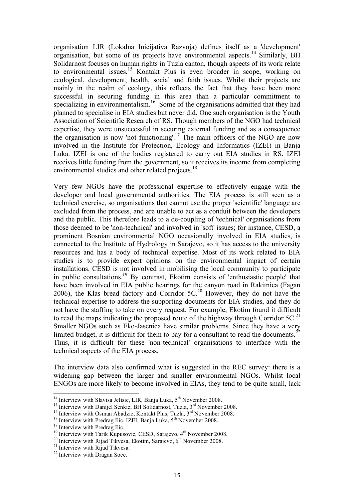organisation LIR (Lokalna Inicijativa Razvoja) defines itself as a 'development' organisation, but some of its projects have environmental aspects.<sup>14</sup> Similarly, BH Solidarnost focuses on human rights in Tuzla canton, though aspects of its work relate to environmental issues. <sup>15</sup> Kontakt Plus is even broader in scope, working on ecological, development, health, social and faith issues. Whilst their projects are mainly in the realm of ecology, this reflects the fact that they have been more successful in securing funding in this area than a particular commitment to specializing in environmentalism.<sup>16</sup> Some of the organisations admitted that they had planned to specialise in EIA studies but never did. One such organisation is the Youth Association of Scientific Research of RS. Though members of the NGO had technical expertise, they were unsuccessful in securing external funding and as a consequence the organisation is now 'not functioning'.<sup>17</sup> The main officers of the NGO are now involved in the Institute for Protection, Ecology and Informatics (IZEI) in Banja Luka. IZEI is one of the bodies registered to carry out EIA studies in RS. IZEI receives little funding from the government, so it receives its income from completing environmental studies and other related projects.<sup>18</sup>

Very few NGOs have the professional expertise to effectively engage with the developer and local governmental authorities. The EIA process is still seen as a technical exercise, so organisations that cannot use the proper 'scientific' language are excluded from the process, and are unable to act as a conduit between the developers and the public. This therefore leads to a de-coupling of 'technical' organisations from those deemed to be 'non-technical' and involved in 'soft' issues; for instance, CESD, a prominent Bosnian environmental NGO occasionally involved in EIA studies, is connected to the Institute of Hydrology in Sarajevo, so it has access to the university resources and has a body of technical expertise. Most of its work related to EIA studies is to provide expert opinions on the environmental impact of certain installations. CESD is not involved in mobilising the local community to participate in public consultations.<sup>19</sup> By contrast, Ekotim consists of 'enthusiastic people' that have been involved in EIA public hearings for the canyon road in Rakitnica (Fagan 2006), the Klas bread factory and Corridor  $5C<sup>20</sup>$  However, they do not have the technical expertise to address the supporting documents for EIA studies, and they do not have the staffing to take on every request. For example, Ekotim found it difficult to read the maps indicating the proposed route of the highway through Corridor  $5C$ .<sup>21</sup> Smaller NGOs such as Eko-Jasenica have similar problems. Since they have a very limited budget, it is difficult for them to pay for a consultant to read the documents.<sup>22</sup> Thus, it is difficult for these 'non-technical' organisations to interface with the technical aspects of the EIA process.

The interview data also confirmed what is suggested in the REC survey: there is a widening gap between the larger and smaller environmental NGOs. Whilst local ENGOs are more likely to become involved in EIAs, they tend to be quite small, lack

<sup>&</sup>lt;sup>14</sup> Interview with Slavisa Jelisic, LIR, Banja Luka, 5<sup>th</sup> November 2008.<br><sup>15</sup> Interview with Danijel Senkic, BH Solidarnost, Tuzla, 3<sup>rd</sup> November 2008.<br><sup>16</sup> Interview with Osman Abadzic, Kontakt Plus, Tuzla, 3<sup>rd</sup> Nove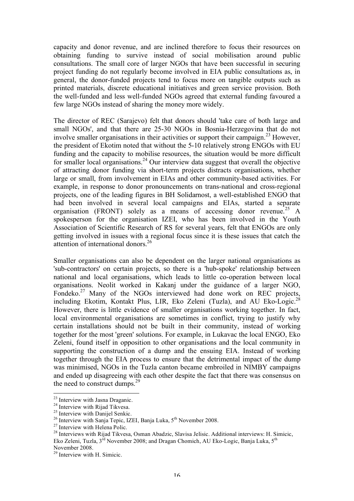capacity and donor revenue, and are inclined therefore to focus their resources on obtaining funding to survive instead of social mobilisation around public consultations. The small core of larger NGOs that have been successful in securing project funding do not regularly become involved in EIA public consultations as, in general, the donor-funded projects tend to focus more on tangible outputs such as printed materials, discrete educational initiatives and green service provision. Both the well-funded and less well-funded NGOs agreed that external funding favoured a few large NGOs instead of sharing the money more widely.

The director of REC (Sarajevo) felt that donors should 'take care of both large and small NGOs', and that there are 25-30 NGOs in Bosnia-Herzegovina that do not involve smaller organisations in their activities or support their campaign.<sup>23</sup> However, the president of Ekotim noted that without the 5-10 relatively strong ENGOs with EU funding and the capacity to mobilise resources, the situation would be more difficult for smaller local organisations.<sup>24</sup> Our interview data suggest that overall the objective of attracting donor funding via short-term projects distracts organisations, whether large or small, from involvement in EIAs and other community-based activities. For example, in response to donor pronouncements on trans-national and cross-regional projects, one of the leading figures in BH Solidarnost, a well-established ENGO that had been involved in several local campaigns and EIAs, started a separate organisation (FRONT) solely as a means of accessing donor revenue.<sup>25</sup> A spokesperson for the organisation IZEI, who has been involved in the Youth Association of Scientific Research of RS for several years, felt that ENGOs are only getting involved in issues with a regional focus since it is these issues that catch the attention of international donors.<sup>26</sup>

Smaller organisations can also be dependent on the larger national organisations as 'sub-contractors' on certain projects, so there is a 'hub-spoke' relationship between national and local organisations, which leads to little co-operation between local organisations. Neolit worked in Kakanj under the guidance of a larger NGO, Fondeko.<sup>27</sup> Many of the NGOs interviewed had done work on REC projects, including Ekotim, Kontakt Plus, LIR, Eko Zeleni (Tuzla), and AU Eko-Logic.<sup>28</sup> However, there is little evidence of smaller organisations working together. In fact, local environmental organisations are sometimes in conflict, trying to justify why certain installations should not be built in their community, instead of working together for the most 'green' solutions. For example, in Lukavac the local ENGO, Eko Zeleni, found itself in opposition to other organisations and the local community in supporting the construction of a dump and the ensuing EIA. Instead of working together through the EIA process to ensure that the detrimental impact of the dump was minimised, NGOs in the Tuzla canton became embroiled in NIMBY campaigns and ended up disagreeing with each other despite the fact that there was consensus on the need to construct dumps. $29$ 

<sup>&</sup>lt;sup>23</sup> Interview with Jasna Draganic.<br>
<sup>24</sup> Interview with Rijad Tikvesa.<br>
<sup>25</sup> Interview with Danijel Senkic.<br>
<sup>26</sup> Interview with Sanja Tepic, IZEI, Banja Luka, 5<sup>th</sup> November 2008.<br>
<sup>27</sup> Interview with Helena Polic.<br>
<sup>28</sup> Eko Zeleni, Tuzla,  $3^{\text{rd}}$  November 2008; and Dragan Chomich, AU Eko-Logic, Banja Luka,  $5^{\text{th}}$ 

November 2008.<br><sup>29</sup> Interview with H. Simicic.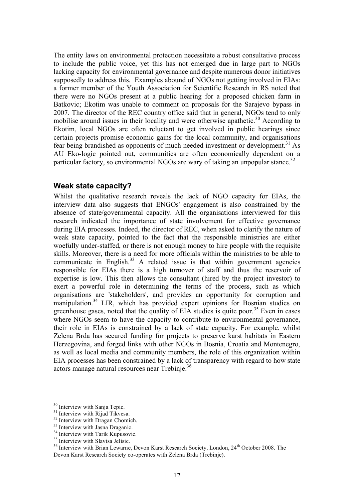The entity laws on environmental protection necessitate a robust consultative process to include the public voice, yet this has not emerged due in large part to NGOs lacking capacity for environmental governance and despite numerous donor initiatives supposedly to address this. Examples abound of NGOs not getting involved in EIAs: a former member of the Youth Association for Scientific Research in RS noted that there were no NGOs present at a public hearing for a proposed chicken farm in Batkovic; Ekotim was unable to comment on proposals for the Sarajevo bypass in 2007. The director of the REC country office said that in general, NGOs tend to only mobilise around issues in their locality and were otherwise apathetic.<sup>30</sup> According to Ekotim, local NGOs are often reluctant to get involved in public hearings since certain projects promise economic gains for the local community, and organisations fear being brandished as opponents of much needed investment or development.<sup>31</sup> As AU Eko-logic pointed out, communities are often economically dependent on a particular factory, so environmental NGOs are wary of taking an unpopular stance.<sup>32</sup>

#### **Weak state capacity?**

Whilst the qualitative research reveals the lack of NGO capacity for EIAs, the interview data also suggests that ENGOs' engagement is also constrained by the absence of state/governmental capacity. All the organisations interviewed for this research indicated the importance of state involvement for effective governance during EIA processes. Indeed, the director of REC, when asked to clarify the nature of weak state capacity, pointed to the fact that the responsible ministries are either woefully under-staffed, or there is not enough money to hire people with the requisite skills. Moreover, there is a need for more officials within the ministries to be able to communicate in English. $33$  A related issue is that within government agencies responsible for EIAs there is a high turnover of staff and thus the reservoir of expertise is low. This then allows the consultant (hired by the project investor) to exert a powerful role in determining the terms of the process, such as which organisations are 'stakeholders', and provides an opportunity for corruption and manipulation.<sup>34</sup> LIR, which has provided expert opinions for Bosnian studies on greenhouse gases, noted that the quality of EIA studies is quite poor.<sup>35</sup> Even in cases where NGOs seem to have the capacity to contribute to environmental governance, their role in EIAs is constrained by a lack of state capacity. For example, whilst Zelena Brda has secured funding for projects to preserve karst habitats in Eastern Herzegovina, and forged links with other NGOs in Bosnia, Croatia and Montenegro, as well as local media and community members, the role of this organization within EIA processes has been constrained by a lack of transparency with regard to how state actors manage natural resources near Trebinje.<sup>36</sup>

<sup>&</sup>lt;sup>30</sup> Interview with Sanja Tepic.<br>
<sup>31</sup> Interview with Rijad Tikvesa.<br>
<sup>32</sup> Interview with Dragan Chomich.<br>
<sup>33</sup> Interview with Jasna Draganic.<br>
<sup>34</sup> Interview with Tarik Kupusovic.<br>
<sup>35</sup> Interview with Slavisa Jelisic.<br>
<sup></sup> Devon Karst Research Society co-operates with Zelena Brda (Trebinje).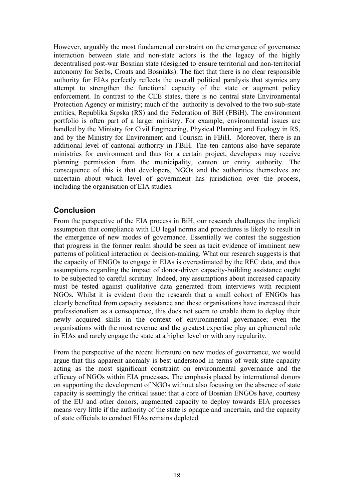However, arguably the most fundamental constraint on the emergence of governance interaction between state and non-state actors is the the legacy of the highly decentralised post-war Bosnian state (designed to ensure territorial and non-territorial autonomy for Serbs, Croats and Bosniaks). The fact that there is no clear responsible authority for EIAs perfectly reflects the overall political paralysis that stymies any attempt to strengthen the functional capacity of the state or augment policy enforcement. In contrast to the CEE states, there is no central state Environmental Protection Agency or ministry; much of the authority is devolved to the two sub-state entities, Republika Srpska (RS) and the Federation of BiH (FBiH). The environment portfolio is often part of a larger ministry. For example, environmental issues are handled by the Ministry for Civil Engineering, Physical Planning and Ecology in RS, and by the Ministry for Environment and Tourism in FBiH. Moreover, there is an additional level of cantonal authority in FBiH. The ten cantons also have separate ministries for environment and thus for a certain project, developers may receive planning permission from the municipality, canton or entity authority. The consequence of this is that developers, NGOs and the authorities themselves are uncertain about which level of government has jurisdiction over the process, including the organisation of EIA studies.

## **Conclusion**

From the perspective of the EIA process in BiH, our research challenges the implicit assumption that compliance with EU legal norms and procedures is likely to result in the emergence of new modes of governance. Essentially we contest the suggestion that progress in the former realm should be seen as tacit evidence of imminent new patterns of political interaction or decision-making. What our research suggests is that the capacity of ENGOs to engage in EIAs is overestimated by the REC data, and thus assumptions regarding the impact of donor-driven capacity-building assistance ought to be subjected to careful scrutiny. Indeed, any assumptions about increased capacity must be tested against qualitative data generated from interviews with recipient NGOs. Whilst it is evident from the research that a small cohort of ENGOs has clearly benefited from capacity assistance and these organisations have increased their professionalism as a consequence, this does not seem to enable them to deploy their newly acquired skills in the context of environmental governance; even the organisations with the most revenue and the greatest expertise play an ephemeral role in EIAs and rarely engage the state at a higher level or with any regularity.

From the perspective of the recent literature on new modes of governance, we would argue that this apparent anomaly is best understood in terms of weak state capacity acting as the most significant constraint on environmental governance and the efficacy of NGOs within EIA processes. The emphasis placed by international donors on supporting the development of NGOs without also focusing on the absence of state capacity is seemingly the critical issue: that a core of Bosnian ENGOs have, courtesy of the EU and other donors, augmented capacity to deploy towards EIA processes means very little if the authority of the state is opaque and uncertain, and the capacity of state officials to conduct EIAs remains depleted.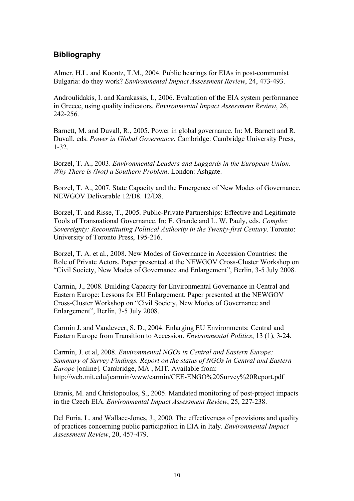# **Bibliography**

Almer, H.L. and Koontz, T.M., 2004. Public hearings for EIAs in post-communist Bulgaria: do they work? *Environmental Impact Assessment Review*, 24, 473-493.

Androulidakis, I. and Karakassis, I., 2006. Evaluation of the EIA system performance in Greece, using quality indicators. *Environmental Impact Assessment Review*, 26, 242-256.

Barnett, M. and Duvall, R., 2005. Power in global governance. In: M. Barnett and R. Duvall, eds. *Power in Global Governance*. Cambridge: Cambridge University Press, 1-32.

Borzel, T. A., 2003. *Environmental Leaders and Laggards in the European Union. Why There is (Not) a Southern Problem*. London: Ashgate.

Borzel, T. A., 2007. State Capacity and the Emergence of New Modes of Governance. NEWGOV Delivarable 12/D8. 12/D8.

Borzel, T. and Risse, T., 2005. Public-Private Partnerships: Effective and Legitimate Tools of Transnational Governance. In: E. Grande and L. W. Pauly, eds. *Complex Sovereignty: Reconstituting Political Authority in the Twenty-first Century*. Toronto: University of Toronto Press, 195-216.

Borzel, T. A. et al., 2008. New Modes of Governance in Accession Countries: the Role of Private Actors. Paper presented at the NEWGOV Cross-Cluster Workshop on "Civil Society, New Modes of Governance and Enlargement", Berlin, 3-5 July 2008.

Carmin, J., 2008. Building Capacity for Environmental Governance in Central and Eastern Europe: Lessons for EU Enlargement. Paper presented at the NEWGOV Cross-Cluster Workshop on "Civil Society, New Modes of Governance and Enlargement", Berlin, 3-5 July 2008.

Carmin J. and Vandeveer, S. D., 2004. Enlarging EU Environments: Central and Eastern Europe from Transition to Accession. *Environmental Politics*, 13 (1), 3-24.

Carmin, J. et al, 2008. *Environmental NGOs in Central and Eastern Europe: Summary of Survey Findings. Report on the status of NGOs in Central and Eastern Europe* [online]. Cambridge, MA , MIT. Available from: http://web.mit.edu/jcarmin/www/carmin/CEE-ENGO%20Survey%20Report.pdf

Branis, M. and Christopoulos, S., 2005. Mandated monitoring of post-project impacts in the Czech EIA. *Environmental Impact Assessment Review*, 25, 227-238.

Del Furia, L. and Wallace-Jones, J., 2000. The effectiveness of provisions and quality of practices concerning public participation in EIA in Italy. *Environmental Impact Assessment Review*, 20, 457-479.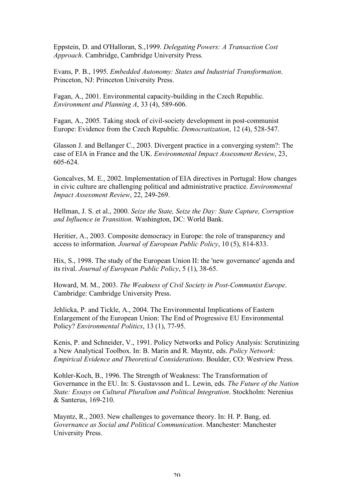Eppstein, D. and O'Halloran, S.,1999. *Delegating Powers: A Transaction Cost Approach*. Cambridge, Cambridge University Press.

Evans, P. B., 1995. *Embedded Autonomy: States and Industrial Transformation*. Princeton, NJ: Princeton University Press.

Fagan, A., 2001. Environmental capacity-building in the Czech Republic. *Environment and Planning A*, 33 (4), 589-606.

Fagan, A., 2005. Taking stock of civil-society development in post-communist Europe: Evidence from the Czech Republic. *Democratization*, 12 (4), 528-547.

Glasson J. and Bellanger C., 2003. Divergent practice in a converging system?: The case of EIA in France and the UK. *Environmental Impact Assessment Review*, 23, 605-624.

Goncalves, M. E., 2002. Implementation of EIA directives in Portugal: How changes in civic culture are challenging political and administrative practice. *Environmental Impact Assessment Review*, 22, 249-269.

Hellman, J. S. et al., 2000. *Seize the State, Seize the Day: State Capture, Corruption and Influence in Transition*. Washington, DC: World Bank.

Heritier, A., 2003. Composite democracy in Europe: the role of transparency and access to information. *Journal of European Public Policy*, 10 (5), 814-833.

Hix, S., 1998. The study of the European Union II: the 'new governance' agenda and its rival. *Journal of European Public Policy*, 5 (1), 38-65.

Howard, M. M., 2003. *The Weakness of Civil Society in Post-Communist Europe*. Cambridge: Cambridge University Press.

Jehlicka, P. and Tickle, A., 2004. The Environmental Implications of Eastern Enlargement of the European Union: The End of Progressive EU Environmental Policy? *Environmental Politics*, 13 (1), 77-95.

Kenis, P. and Schneider, V., 1991. Policy Networks and Policy Analysis: Scrutinizing a New Analytical Toolbox. In: B. Marin and R. Mayntz, eds. *Policy Network: Empirical Evidence and Theoretical Considerations*. Boulder, CO: Westview Press.

Kohler-Koch, B., 1996. The Strength of Weakness: The Transformation of Governance in the EU. In: S. Gustavsson and L. Lewin, eds. *The Future of the Nation State: Essays on Cultural Pluralism and Political Integration*. Stockholm: Nerenius & Santerus, 169-210.

Mayntz, R., 2003. New challenges to governance theory. In: H. P. Bang, ed. *Governance as Social and Political Communication*. Manchester: Manchester University Press.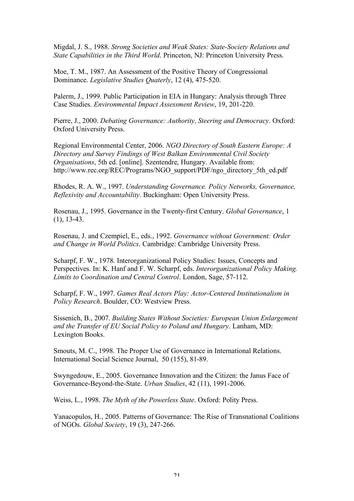Migdal, J. S., 1988. *Strong Societies and Weak States: State-Society Relations and State Capabilities in the Third World*. Princeton, NJ: Princeton University Press.

Moe, T. M., 1987. An Assessment of the Positive Theory of Congressional Dominance. *Legislative Studies Quaterly*, 12 (4), 475-520.

Palerm, J., 1999. Public Participation in EIA in Hungary: Analysis through Three Case Studies. *Environmental Impact Assessment Review*, 19, 201-220.

Pierre, J., 2000. *Debating Governance: Authority, Steering and Democracy*. Oxford: Oxford University Press.

Regional Environmental Center, 2006. *NGO Directory of South Eastern Europe: A Directory and Survey Findings of West Balkan Environmental Civil Society Organisations*, 5th ed. [online]. Szentendre, Hungary. Available from: http://www.rec.org/REC/Programs/NGO\_support/PDF/ngo\_directory\_5th\_ed.pdf

Rhodes, R. A. W., 1997. *Understanding Governance. Policy Networks, Governance, Reflexivity and Accountability*. Buckingham: Open University Press.

Rosenau, J., 1995. Governance in the Twenty-first Century. *Global Governance*, 1 (1), 13-43.

Rosenau, J. and Czempiel, E., eds., 1992. *Governance without Government: Order and Change in World Politics*. Cambridge: Cambridge University Press.

Scharpf, F. W., 1978. Interorganizational Policy Studies: Issues, Concepts and Perspectives. In: K. Hanf and F. W. Scharpf, eds. *Interorganizational Policy Making. Limits to Coordination and Central Control*. London, Sage, 57-112.

Scharpf, F. W., 1997. *Games Real Actors Play: Actor-Centered Institutionalism in Policy Research*. Boulder, CO: Westview Press.

Sissenich, B., 2007. *Building States Without Societies: European Union Enlargement and the Transfer of EU Social Policy to Poland and Hungary*. Lanham, MD: Lexington Books.

Smouts, M. C., 1998. The Proper Use of Governance in International Relations. International Social Science Journal, 50 (155), 81-89.

Swyngedouw, E., 2005. Governance Innovation and the Citizen: the Janus Face of Governance-Beyond-the-State. *Urban Studies*, 42 (11), 1991-2006.

Weiss, L., 1998. *The Myth of the Powerless State*. Oxford: Polity Press.

Yanacopulos, H., 2005. Patterns of Governance: The Rise of Transnational Coalitions of NGOs. *Global Society*, 19 (3), 247-266.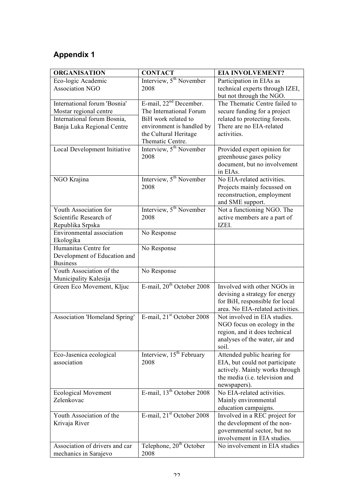# **Appendix 1**

| <b>ORGANISATION</b>                    | <b>CONTACT</b>                        | <b>EIA INVOLVEMENT?</b>                                       |
|----------------------------------------|---------------------------------------|---------------------------------------------------------------|
| Eco-logic Academic                     | Interview, 5 <sup>th</sup> November   | Participation in EIAs as                                      |
| <b>Association NGO</b>                 | 2008                                  | technical experts through IZEI,                               |
|                                        |                                       | but not through the NGO.                                      |
| International forum 'Bosnia'           | E-mail, 22 <sup>nd</sup> December.    | The Thematic Centre failed to                                 |
| Mostar regional centre                 | The International Forum               | secure funding for a project                                  |
| International forum Bosnia,            | BiH work related to                   | related to protecting forests.                                |
| Banja Luka Regional Centre             | environment is handled by             | There are no EIA-related                                      |
|                                        | the Cultural Heritage                 | activities.                                                   |
|                                        | Thematic Centre.                      |                                                               |
| Local Development Initiative           | Interview, 5 <sup>th</sup> November   | Provided expert opinion for                                   |
|                                        | 2008                                  | greenhouse gases policy                                       |
|                                        |                                       | document, but no involvement                                  |
|                                        |                                       | in EIAs.                                                      |
| NGO Krajina                            | Interview, 5 <sup>th</sup> November   | No EIA-related activities.                                    |
|                                        | 2008                                  | Projects mainly focussed on                                   |
|                                        |                                       | reconstruction, employment                                    |
| Youth Association for                  | Interview, 5 <sup>th</sup> November   | and SME support.<br>Not a functioning NGO. The                |
| Scientific Research of                 | 2008                                  | active members are a part of                                  |
| Republika Srpska                       |                                       | IZEI.                                                         |
| Environmental association              | No Response                           |                                                               |
| Ekologika                              |                                       |                                                               |
| Humanitas Centre for                   | No Response                           |                                                               |
| Development of Education and           |                                       |                                                               |
| <b>Business</b>                        |                                       |                                                               |
| Youth Association of the               | No Response                           |                                                               |
| Municipality Kalesija                  |                                       |                                                               |
| Green Eco Movement, Kljuc              | E-mail, 20 <sup>th</sup> October 2008 | Involved with other NGOs in                                   |
|                                        |                                       | devising a strategy for energy                                |
|                                        |                                       | for BiH, responsible for local                                |
|                                        |                                       | area. No EIA-related activities.                              |
| Association 'Homeland Spring'          | E-mail, 21 <sup>st</sup> October 2008 | Not involved in EIA studies.                                  |
|                                        |                                       | NGO focus on ecology in the                                   |
|                                        |                                       | region, and it does technical                                 |
|                                        |                                       | analyses of the water, air and                                |
|                                        | Interview, 15 <sup>th</sup> February  | soil.                                                         |
| Eco-Jasenica ecological<br>association | 2008                                  | Attended public hearing for<br>EIA, but could not participate |
|                                        |                                       | actively. Mainly works through                                |
|                                        |                                       | the media (i.e. television and                                |
|                                        |                                       | newspapers).                                                  |
| <b>Ecological Movement</b>             | E-mail, $13th$ October 2008           | No EIA-related activities.                                    |
| Zelenkovac                             |                                       | Mainly environmental                                          |
|                                        |                                       | education campaigns.                                          |
| Youth Association of the               | E-mail, 21 <sup>st</sup> October 2008 | Involved in a REC project for                                 |
| Krivaja River                          |                                       | the development of the non-                                   |
|                                        |                                       | governmental sector, but no                                   |
|                                        |                                       | involvement in EIA studies.                                   |
| Association of drivers and car         | Telephone, 20 <sup>th</sup> October   | No involvement in EIA studies                                 |
| mechanics in Sarajevo                  | 2008                                  |                                                               |